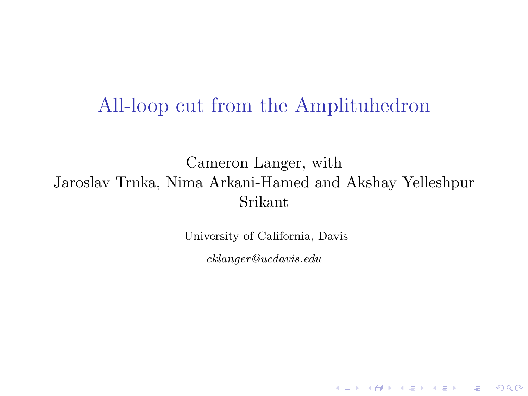## All-loop cut from the Amplituhedron

Cameron Langer, with Jaroslav Trnka, Nima Arkani-Hamed and Akshay Yelleshpur Srikant

University of California, Davis

cklanger@ucdavis.edu

**K ロ ▶ K 레 ▶ K 코 ▶ K 코 ▶ 『코』 ◆ 9 Q OK**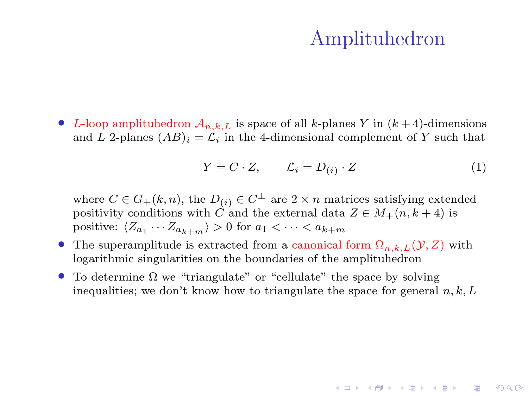## Amplituhedron

• L-loop amplituhedron  $A_{n,k,L}$  is space of all k-planes Y in  $(k+4)$ -dimensions and L 2-planes  $(AB)_i = \mathcal{L}_i$  in the 4-dimensional complement of Y such that

$$
Y = C \cdot Z, \qquad \mathcal{L}_i = D_{(i)} \cdot Z \tag{1}
$$

where  $C \in G_+(k,n)$ , the  $D_{(i)} \in C^{\perp}$  are  $2 \times n$  matrices satisfying extended positivity conditions with  $\hat{C}$  and the external data  $Z \in M_+(n, k+4)$  is positive:  $\langle Z_{a_1} \cdots Z_{a_{k+m}} \rangle > 0$  for  $a_1 < \cdots < a_{k+m}$ 

- The superamplitude is extracted from a canonical form  $\Omega_{n,k,L}(\mathcal{Y}, Z)$  with logarithmic singularities on the boundaries of the amplituhedron
- To determine  $\Omega$  we "triangulate" or "cellulate" the space by solving inequalities; we don't know how to triangulate the space for general  $n, k, L$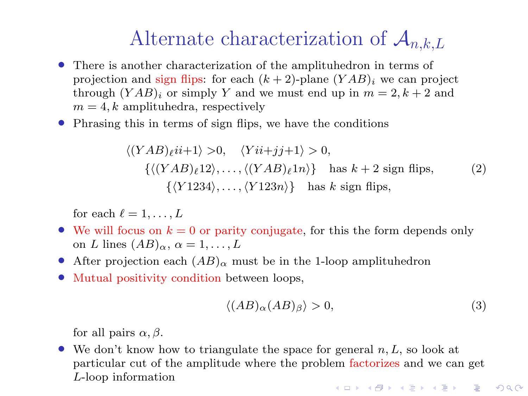## Alternate characterization of  $\mathcal{A}_{n,k,L}$

- There is another characterization of the amplituhedron in terms of projection and sign flips: for each  $(k + 2)$ -plane  $(YAB)_i$  we can project through  $(YAB)_i$  or simply Y and we must end up in  $m = 2, k + 2$  and  $m = 4, k$  amplituhedra, respectively
- Phrasing this in terms of sign flips, we have the conditions

$$
\langle (YAB)_{\ell}ii+1 \rangle >0, \quad \langle Yii+jj+1 \rangle >0,
$$
  

$$
\{ \langle (YAB)_{\ell}12 \rangle, \dots, \langle (YAB)_{\ell}1n \rangle \} \text{ has } k+2 \text{ sign flips},
$$
  

$$
\{ \langle Y1234 \rangle, \dots, \langle Y123n \rangle \} \text{ has } k \text{ sign flips},
$$
  
(2)

for each  $\ell = 1, \ldots, L$ 

- We will focus on  $k = 0$  or parity conjugate, for this the form depends only on L lines  $(AB)_{\alpha}, \alpha = 1, \ldots, L$
- After projection each  $(AB)_{\alpha}$  must be in the 1-loop amplituhedron
- Mutual positivity condition between loops.

$$
\langle (AB)_{\alpha} (AB)_{\beta} \rangle > 0,\tag{3}
$$

for all pairs  $\alpha$ ,  $\beta$ .

• We don't know how to triangulate the space for general  $n, L$ , so look at particular cut of the amplitude where the problem factorizes and we can get L-loop information**KOR & KERKER ADA KON**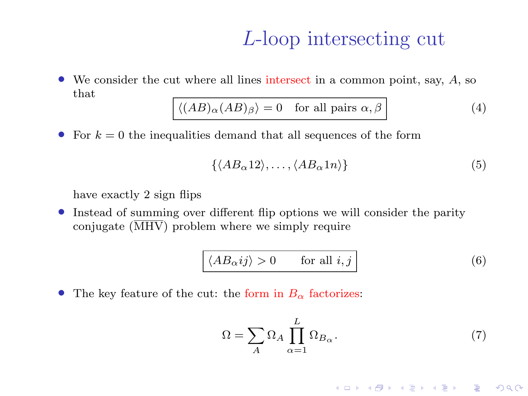## L-loop intersecting cut

• We consider the cut where all lines intersect in a common point, say, A, so that

$$
\langle (AB)_{\alpha}(AB)_{\beta} \rangle = 0 \quad \text{for all pairs } \alpha, \beta \tag{4}
$$

• For  $k = 0$  the inequalities demand that all sequences of the form

$$
\{\langle AB_{\alpha}12\rangle, \dots, \langle AB_{\alpha}1n\rangle\}\tag{5}
$$

have exactly 2 sign flips

• Instead of summing over different flip options we will consider the parity conjugate  $(\overline{\text{MHV}})$  problem where we simply require

$$
\langle AB_{\alpha}ij \rangle > 0 \qquad \text{for all } i, j \tag{6}
$$

• The key feature of the cut: the form in  $B_{\alpha}$  factorizes:

$$
\Omega = \sum_{A} \Omega_A \prod_{\alpha=1}^{L} \Omega_{B_{\alpha}}.
$$
\n(7)

K □ ▶ K ● K K X B X X B X B X X Q Q Q Q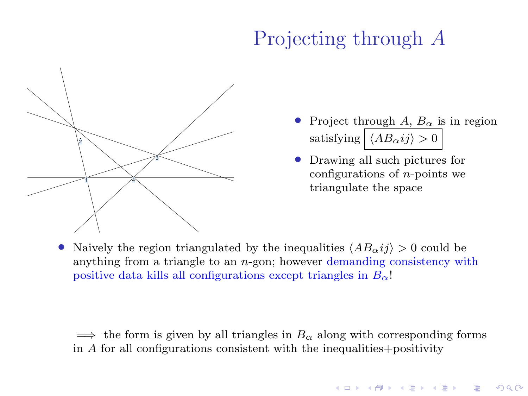## Projecting through A



• Project through A,  $B_{\alpha}$  is in region satisfying  $\boxed{\langle AB_{\alpha} ij \rangle > 0}$ 

• Drawing all such pictures for configurations of  $n$ -points we triangulate the space

Naively the region triangulated by the inequalities  $\langle AB_\alpha i j \rangle > 0$  could be anything from a triangle to an n-gon; however demanding consistency with positive data kills all configurations except triangles in  $B_{\alpha}$ !

 $\implies$  the form is given by all triangles in  $B_{\alpha}$  along with corresponding forms in A for all configurations consistent with the inequalities+positivity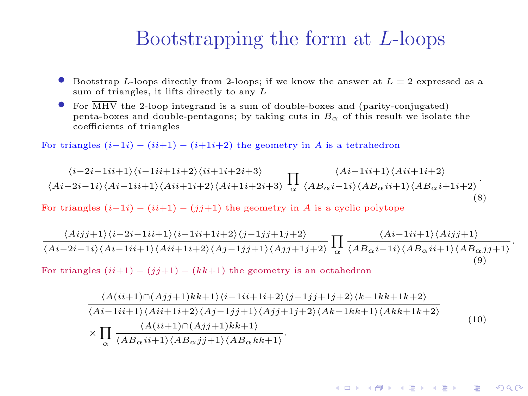## Bootstrapping the form at L-loops

- Bootstrap L-loops directly from 2-loops; if we know the answer at  $L = 2$  expressed as a sum of triangles, it lifts directly to any L
- For  $\overline{\text{MHV}}$  the 2-loop integrand is a sum of double-boxes and (parity-conjugated) penta-boxes and double-pentagons; by taking cuts in  $B_{\alpha}$  of this result we isolate the coefficients of triangles

For triangles  $(i-1i) - (i+1i) - (i+1i+2)$  the geometry in A is a tetrahedron

$$
\frac{\langle i-2i-1ii+1\rangle\langle i-1ii+1i+2\rangle\langle ii+1i+2i+3\rangle}{\langle Ai-2i-1i\rangle\langle Ai-1ii+1\rangle\langle Ai+1i+2\rangle\langle Ai+1i+2i+3\rangle}\n\prod_{\alpha}\n\frac{\langle Ai-1ii+1\rangle\langle Ai+1i+2\rangle}{\langle AB_{\alpha}i-1i\rangle\langle AB_{\alpha}i+1\rangle\langle AB_{\alpha}i+1i+2\rangle}.
$$
\n(8)

For triangles  $(i-1i) - (ii+1) - (ii+1)$  the geometry in A is a cyclic polytope

$$
\frac{\langle Aij+1\rangle\langle i-2i-1ii+1\rangle\langle i-1ii+1i+2\rangle\langle j-1jj+1j+2\rangle}{\langle Ai-2i-1i\rangle\langle Ai-1ii+1\rangle\langle Aii+1i+2\rangle\langle Aj-1jj+1\rangle\langle Ajj+1j+2\rangle}\prod_{\alpha}\frac{\langle Ai-1ii+1\rangle\langle Aij+1\rangle}{\langle AB_{\alpha}i-1i\rangle\langle AB_{\alpha}ii+1\rangle\langle AB_{\alpha}jj+1\rangle}\n\tag{9}
$$

.

**ADE APERIST ARE PROVIDE** 

For triangles  $(ii+1) - (ii+1) - (kk+1)$  the geometry is an octahedron

$$
\frac{\langle A(ii+1)\cap (Ajj+1)kk+1\rangle\langle i-1ii+1i+2\rangle\langle j-1jj+1j+2\rangle\langle k-1kk+1k+2\rangle}{\langle Ai-1ii+1\rangle\langle Aii+1i+2\rangle\langle Aj-1jj+1\rangle\langle Ajj+1j+2\rangle\langle Ak-1kk+1\rangle\langle Akk+1k+2\rangle}\n\times \prod_{\alpha} \frac{\langle A(ii+1)\cap (Ajj+1)kk+1\rangle}{\langle AB_{\alpha}ii+1\rangle\langle AB_{\alpha}jj+1\rangle\langle AB_{\alpha}kk+1\rangle}.
$$
\n(10)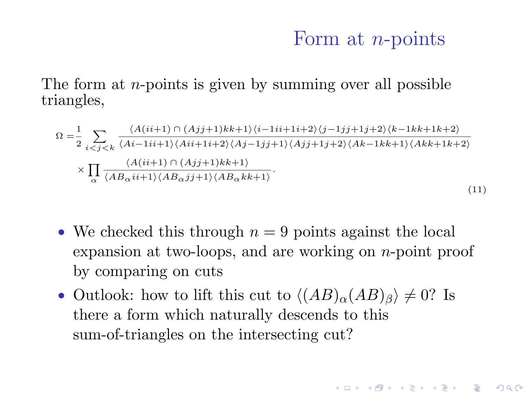#### Form at *n*-points

**A DIA 4 B A DIA A B A DIA 4 DIA A DIA B** 

The form at *n*-points is given by summing over all possible triangles,

$$
\Omega = \frac{1}{2} \sum_{i < j < k} \frac{\langle A(ii+1) \cap (Aj+1)kk+1 \rangle \langle i-1ii+1i+2 \rangle \langle j-1jj+1j+2 \rangle \langle k-1kk+1k+2 \rangle)}{\langle Ai-1ii+1 \rangle \langle Ai+1i+2 \rangle \langle Aj-1jj+1 \rangle \langle Aj+1j+2 \rangle \langle Ak-1kk+1 \rangle \langle Akk+1k+2 \rangle)} \times \prod_{\alpha} \frac{\langle A(ii+1) \cap (Aj+1)kk+1 \rangle}{\langle AB_{\alpha}ii+1 \rangle \langle AB_{\alpha}jj+1 \rangle \langle AB_{\alpha}kk+1 \rangle}.
$$
\n(11)

- We checked this through  $n = 9$  points against the local expansion at two-loops, and are working on n-point proof by comparing on cuts
- Outlook: how to lift this cut to  $\langle (AB)_{\alpha}(AB)_{\beta} \rangle \neq 0$ ? Is there a form which naturally descends to this sum-of-triangles on the intersecting cut?